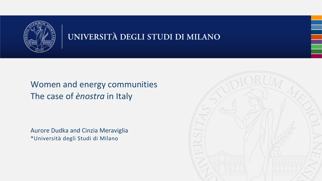

#### UNIVERSITÀ DEGLI STUDI DI MILANO

#### Women and energy communities The case of *ènostra* in Italy

Aurore Dudka and Cinzia Meraviglia \*Università degli Studi di Milano

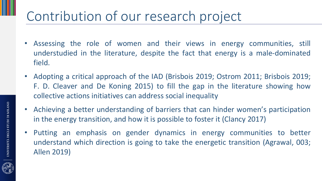# Contribution of our research project

- Assessing the role of women and their views in energy communities, still understudied in the literature, despite the fact that energy is a male-dominated field.
- Adopting a critical approach of the IAD (Brisbois 2019; Ostrom 2011; Brisbois 2019; F. D. Cleaver and De Koning 2015) to fill the gap in the literature showing how collective actions initiatives can address social inequality
- Achieving a better understanding of barriers that can hinder women's participation in the energy transition, and how it is possible to foster it (Clancy 2017)
- Putting an emphasis on gender dynamics in energy communities to better understand which direction is going to take the energetic transition (Agrawal, 003; Allen 2019)

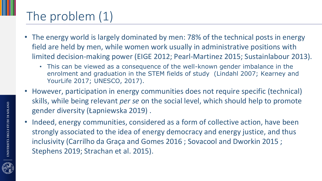# The problem (1)

- The energy world is largely dominated by men: 78% of the technical posts in energy field are held by men, while women work usually in administrative positions with limited decision-making power (EIGE 2012; Pearl‐Martinez 2015; Sustainlabour 2013).
	- This can be viewed as a consequence of the well-known gender imbalance in the enrolment and graduation in the STEM fields of study (Lindahl 2007; Kearney and YourLife 2017; UNESCO, 2017).
- However, participation in energy communities does not require specific (technical) skills, while being relevant *per se* on the social level, which should help to promote gender diversity (Łapniewska 2019) .
- Indeed, energy communities, considered as a form of collective action, have been strongly associated to the idea of energy democracy and energy justice, and thus inclusivity (Carrilho da Graça and Gomes 2016 ; Sovacool and Dworkin 2015 ; Stephens 2019; Strachan et al. 2015).

UNIVERSITÀ DEGLI STUDI DI MILANO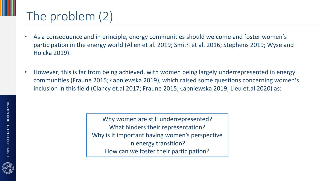# The problem (2)

- As a consequence and in principle, energy communities should welcome and foster women's participation in the energy world (Allen et al. 2019; Smith et al. 2016; Stephens 2019; Wyse and Hoicka 2019).
- However, this is far from being achieved, with women being largely underrepresented in energy communities (Fraune 2015; Łapniewska 2019), which raised some questions concerning women's inclusion in this field (Clancy et.al 2017; Fraune 2015; Łapniewska 2019; Lieu et.al 2020) as:

Why women are still underrepresented? What hinders their representation? Why is it important having women's perspective in energy transition? How can we foster their participation?

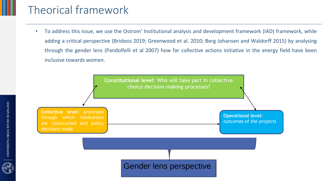#### Theorical framework

• To address this issue, we use the Ostrom' Institutional analysis and development framework (IAD) framework, while adding a critical perspective (Brisbois 2019; Greenwood et al. 2010; Berg Johansen and Waldorff 2015) by analysing through the gender lens (Pandolfelli et al 2007) how far collective actions initiative in the energy field have been inclusive towards women.



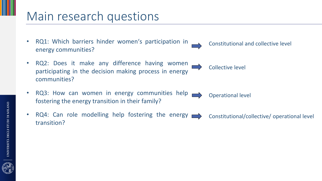#### Main research questions

- RQ1: Which barriers hinder women's participation in energy communities?
- RQ2: Does it make any difference having women participating in the decision making process in energy communities?
- RQ3: How can women in energy communities help fostering the energy transition in their family? Operational level
- RQ4: Can role modelling help fostering the energy  $\longrightarrow$  Constitutional/collective/ operational level transition?



Constitutional and collective level

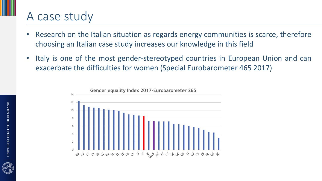#### A case study

- Research on the Italian situation as regards energy communities is scarce, therefore choosing an Italian case study increases our knowledge in this field
- Italy is one of the most gender-stereotyped countries in European Union and can exacerbate the difficulties for women (Special Eurobarometer 465 2017)



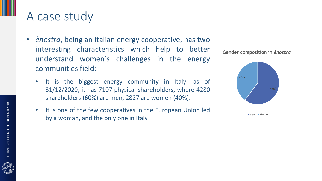#### A case study

- *ènostra*, being an Italian energy cooperative, has two interesting characteristics which help to better understand women's challenges in the energy communities field:
	- It is the biggest energy community in Italy: as of 31/12/2020, it has 7107 physical shareholders, where 4280 shareholders (60%) are men, 2827 are women (40%).
	- It is one of the few cooperatives in the European Union led by a woman, and the only one in Italy





 $Men$  Women

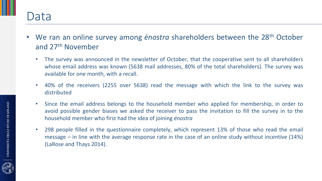#### Data

- We ran an online survey among *ènostra* shareholders between the 28<sup>th</sup> October and 27th November
	- The survey was announced in the newsletter of October, that the cooperative sent to all shareholders whose email address was known (5638 mail addresses, 80% of the total shareholders). The survey was available for one month, with a recall.
	- 40% of the receivers (2255 over 5638) read the message with which the link to the survey was distributed
	- Since the email address belongs to the household member who applied for membership, in order to avoid possible gender biases we asked the receiver to pass the invitation to fill the survey in to the household member who first had the idea of joining *énostra*
	- 298 people filled in the questionnaire completely, which represent 13% of those who read the email message – in line with the average response rate in the case of an online study without incentive (14%) (LaRose and Thays 2014).

UNIVERSITÀ DEGLI STUDI DI MILANO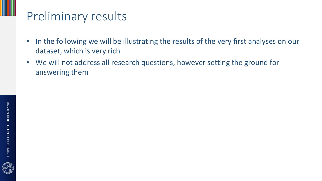## Preliminary results

- In the following we will be illustrating the results of the very first analyses on our dataset, which is very rich
- We will not address all research questions, however setting the ground for answering them

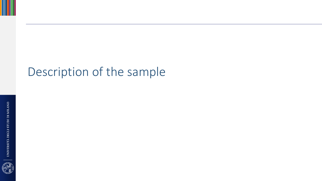## Description of the sample

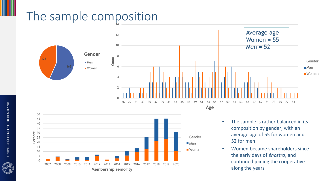## The sample composition



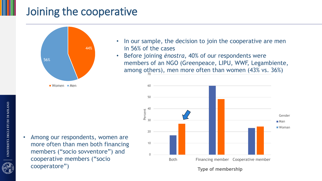#### Joining the cooperative



 $\blacksquare$  Women  $\blacksquare$  Men

• Among our respondents, women are more often than men both financing members ("socio sovventore") and cooperative members ("socio cooperatore")

- In our sample, the decision to join the cooperative are men in 56% of the cases
- Before joining *ènostra*, 40% of our respondents were members of an NGO (Greenpeace, LIPU, WWF, Legambiente, among others), men more often than women  $(43\% \text{ vs. } 36\%)$



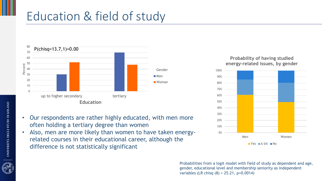## Education & field of study



- Our respondents are rather highly educated, with men more often holding a tertiary degree than women
- Also, men are more likely than women to have taken energyrelated courses in their educational career, although the difference is not statistically significant

#### **Probability of having studied energy-related issues, by gender**



Probabilities from a logit model with field of study as dependent and age, gender, educational level and membership seniority as independent variables (LR chisq (8) = 25.21, p=0.0014)

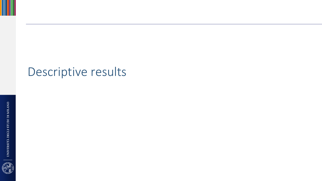## Descriptive results

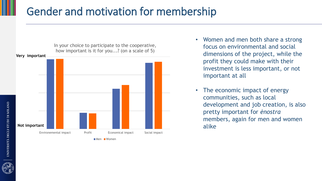#### Gender and motivation for membership



**Men Women** 

- Women and men both share a strong focus on environmental and social dimensions of the project, while the profit they could make with their investment is less important, or not important at all
- The economic impact of energy communities, such as local development and job creation, is also pretty important for *ènostra* members, again for men and women alike

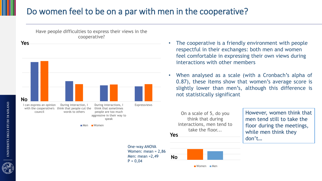#### Do women feel to be on a par with men in the cooperative?



- The cooperative is a friendly environment with people respectful in their exchanges: both men and women feel comfortable in expressing their own views during interactions with other members
- When analysed as a scale (with a Cronbach's alpha of 0.87), these items show that women's average score is slightly lower than men's, although this difference is not statistically significant

On a scale of 5, do you think that during interactions, men tend to take the floor...

**No**

Women Men

However, women think that men tend still to take the floor during the meetings, while men think they don't… **Yes**

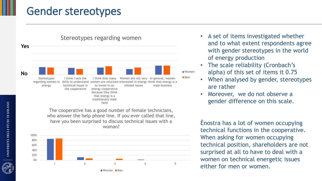#### Gender stereotypes



The cooperative has a good number of female technicians, who answer the help phone line. If you ever called that line, have you been surprised to discuss technical issues with a woman?



- A set of items investigated whether and to what extent respondents agree with gender stereotypes in the world of energy production
- The scale reliability (Cronbach's alpha) of this set of items it 0.75
- When analysed by gender, stereotypes are rather
- Moreover, we do not observe a gender difference on this scale.

Ènostra has a lot of women occupying technical functions in the cooperative. When asking for women occupying technical position, shareholders are not surprised at all to have to deal with a women on technical energetic issues either for men or women.

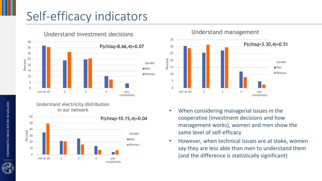## Self-efficacy indicators



Understand electricity distribution in our network





- When considering managerial issues in the cooperative (investment decisions and how management works), women and men show the same level of self-efficacy
- However, when technical issues are at stake, women say they are less able than men to understand them (and the difference is statistically significant)

![](_page_18_Picture_8.jpeg)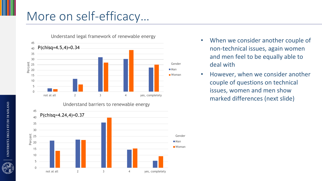## More on self-efficacy…

![](_page_19_Figure_1.jpeg)

Understand barriers to renewable energy

![](_page_19_Figure_3.jpeg)

- When we consider another couple of non-technical issues, again women and men feel to be equally able to deal with
- However, when we consider another couple of questions on technical issues, women and men show marked differences (next slide)

![](_page_19_Picture_7.jpeg)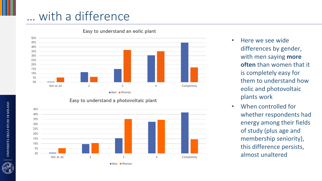## … with a difference

![](_page_20_Figure_1.jpeg)

#### **Easy to understand an eolic plant**

![](_page_20_Figure_3.jpeg)

- Here we see wide differences by gender, with men saying **more often** than women that it is completely easy for them to understand how eolic and photovoltaic plants work
- When controlled for whether respondents had energy among their fields of study (plus age and membership seniority), this difference persists, almost unaltered

![](_page_20_Picture_7.jpeg)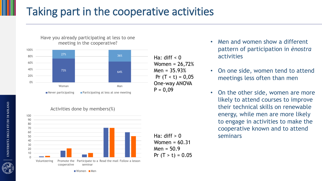## Taking part in the cooperative activities

![](_page_21_Figure_1.jpeg)

Activities done by members(%)

![](_page_21_Figure_3.jpeg)

Ha: diff  $< 0$ Women = 26,72%  $Men = 35.93%$ Pr  $(T < t) = 0.05$ One-way ANOVA  $P = 0,09$ 

- Men and women show a different pattern of participation in *ènostra* activities
- On one side, women tend to attend meetings less often than men
- On the other side, women are more likely to attend courses to improve their technical skills on renewable energy, while men are more likely to engage in activities to make the cooperative known and to attend seminars

Women Men

![](_page_21_Picture_10.jpeg)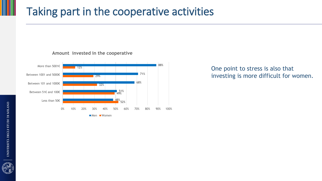#### Taking part in the cooperative activities

**Amount invested in the cooperative**

![](_page_22_Figure_2.jpeg)

#### One point to stress is also that investing is more difficult for women.

![](_page_22_Picture_5.jpeg)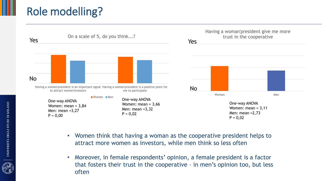## Role modelling?

![](_page_23_Figure_1.jpeg)

- Women think that having a woman as the cooperative president helps to attract more women as investors, while men think so less often
- Moreover, in female respondents' opinion, a female president is a factor that fosters their trust in the cooperative – in men's opinion too, but less often

![](_page_23_Picture_5.jpeg)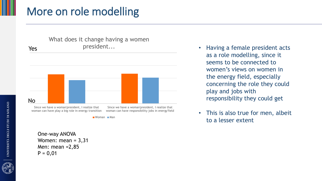#### More on role modelling

![](_page_24_Figure_1.jpeg)

 $\blacksquare$  Woman  $\blacksquare$  Man

One-way ANOVA Women: mean = 3,31 Men: mean =2,85  $P = 0,01$ 

- as a role modelling, since it seems to be connected to women's views on women in the energy field, especially concerning the role they could play and jobs with responsibility they could get
- This is also true for men, albeit to a lesser extent

UNIVERSITÀ DEGLI STUDI DI MILANO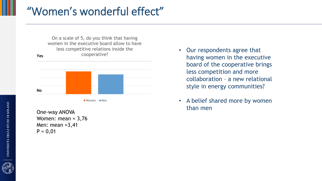#### "Women's wonderful effect"

![](_page_25_Figure_1.jpeg)

![](_page_25_Figure_2.jpeg)

One-way ANOVA Women: mean =  $3,76$ Men: mean =3,41  $P = 0,01$ 

- Our respondents agree that having women in the executive board of the cooperative brings less competition and more collaboration – a new relational style in energy communities?
- A belief shared more by women than men

![](_page_25_Picture_7.jpeg)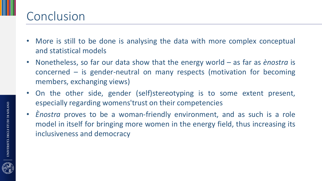### Conclusion

- More is still to be done is analysing the data with more complex conceptual and statistical models
- Nonetheless, so far our data show that the energy world as far as *ènostra* is concerned – is gender-neutral on many respects (motivation for becoming members, exchanging views)
- On the other side, gender (self)stereotyping is to some extent present, especially regarding womens'trust on their competencies
- *Ènostra* proves to be a woman-friendly environment, and as such is a role model in itself for bringing more women in the energy field, thus increasing its inclusiveness and democracy

![](_page_26_Picture_5.jpeg)